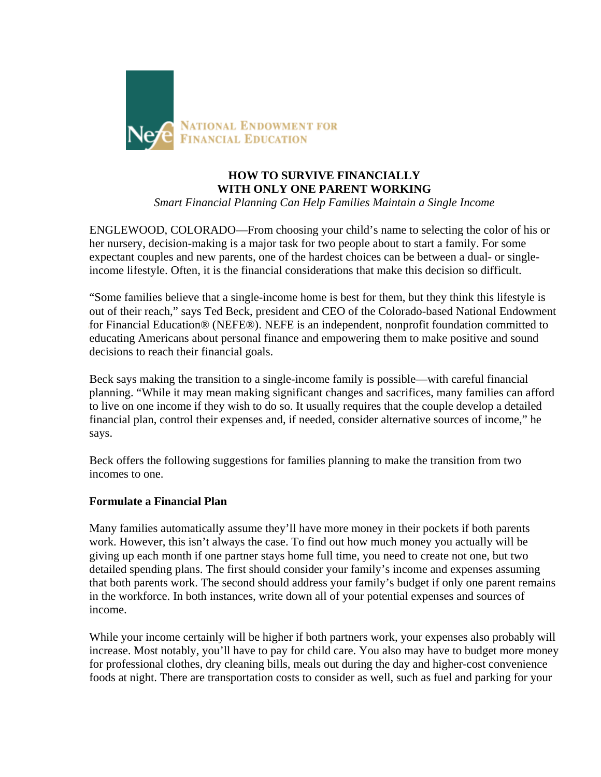

# **HOW TO SURVIVE FINANCIALLY WITH ONLY ONE PARENT WORKING**

*Smart Financial Planning Can Help Families Maintain a Single Income*

ENGLEWOOD, COLORADO—From choosing your child's name to selecting the color of his or her nursery, decision-making is a major task for two people about to start a family. For some expectant couples and new parents, one of the hardest choices can be between a dual- or singleincome lifestyle. Often, it is the financial considerations that make this decision so difficult.

"Some families believe that a single-income home is best for them, but they think this lifestyle is out of their reach," says Ted Beck, president and CEO of the Colorado-based National Endowment for Financial Education® (NEFE®). NEFE is an independent, nonprofit foundation committed to educating Americans about personal finance and empowering them to make positive and sound decisions to reach their financial goals.

Beck says making the transition to a single-income family is possible—with careful financial planning. "While it may mean making significant changes and sacrifices, many families can afford to live on one income if they wish to do so. It usually requires that the couple develop a detailed financial plan, control their expenses and, if needed, consider alternative sources of income," he says.

Beck offers the following suggestions for families planning to make the transition from two incomes to one.

## **Formulate a Financial Plan**

Many families automatically assume they'll have more money in their pockets if both parents work. However, this isn't always the case. To find out how much money you actually will be giving up each month if one partner stays home full time, you need to create not one, but two detailed spending plans. The first should consider your family's income and expenses assuming that both parents work. The second should address your family's budget if only one parent remains in the workforce. In both instances, write down all of your potential expenses and sources of income.

While your income certainly will be higher if both partners work, your expenses also probably will increase. Most notably, you'll have to pay for child care. You also may have to budget more money for professional clothes, dry cleaning bills, meals out during the day and higher-cost convenience foods at night. There are transportation costs to consider as well, such as fuel and parking for your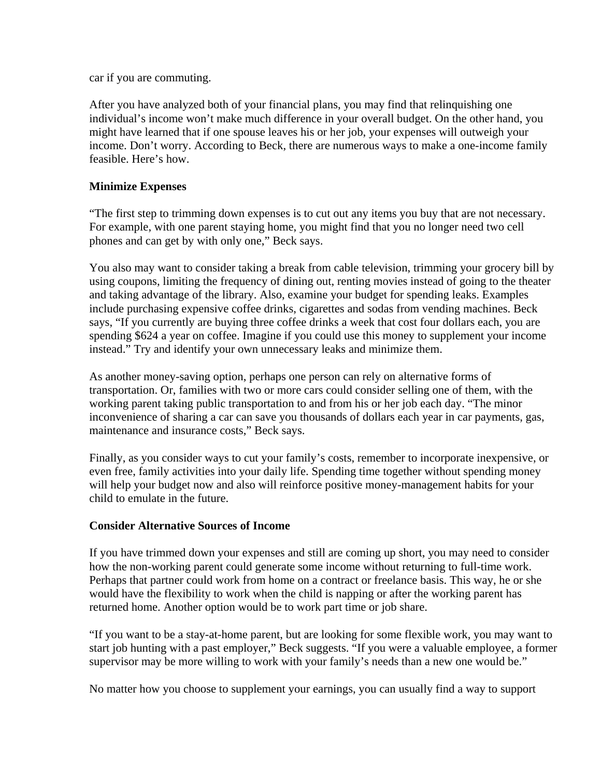car if you are commuting.

After you have analyzed both of your financial plans, you may find that relinquishing one individual's income won't make much difference in your overall budget. On the other hand, you might have learned that if one spouse leaves his or her job, your expenses will outweigh your income. Don't worry. According to Beck, there are numerous ways to make a one-income family feasible. Here's how.

#### **Minimize Expenses**

"The first step to trimming down expenses is to cut out any items you buy that are not necessary. For example, with one parent staying home, you might find that you no longer need two cell phones and can get by with only one," Beck says.

You also may want to consider taking a break from cable television, trimming your grocery bill by using coupons, limiting the frequency of dining out, renting movies instead of going to the theater and taking advantage of the library. Also, examine your budget for spending leaks. Examples include purchasing expensive coffee drinks, cigarettes and sodas from vending machines. Beck says, "If you currently are buying three coffee drinks a week that cost four dollars each, you are spending \$624 a year on coffee. Imagine if you could use this money to supplement your income instead." Try and identify your own unnecessary leaks and minimize them.

As another money-saving option, perhaps one person can rely on alternative forms of transportation. Or, families with two or more cars could consider selling one of them, with the working parent taking public transportation to and from his or her job each day. "The minor inconvenience of sharing a car can save you thousands of dollars each year in car payments, gas, maintenance and insurance costs," Beck says.

Finally, as you consider ways to cut your family's costs, remember to incorporate inexpensive, or even free, family activities into your daily life. Spending time together without spending money will help your budget now and also will reinforce positive money-management habits for your child to emulate in the future.

#### **Consider Alternative Sources of Income**

If you have trimmed down your expenses and still are coming up short, you may need to consider how the non-working parent could generate some income without returning to full-time work. Perhaps that partner could work from home on a contract or freelance basis. This way, he or she would have the flexibility to work when the child is napping or after the working parent has returned home. Another option would be to work part time or job share.

"If you want to be a stay-at-home parent, but are looking for some flexible work, you may want to start job hunting with a past employer," Beck suggests. "If you were a valuable employee, a former supervisor may be more willing to work with your family's needs than a new one would be."

No matter how you choose to supplement your earnings, you can usually find a way to support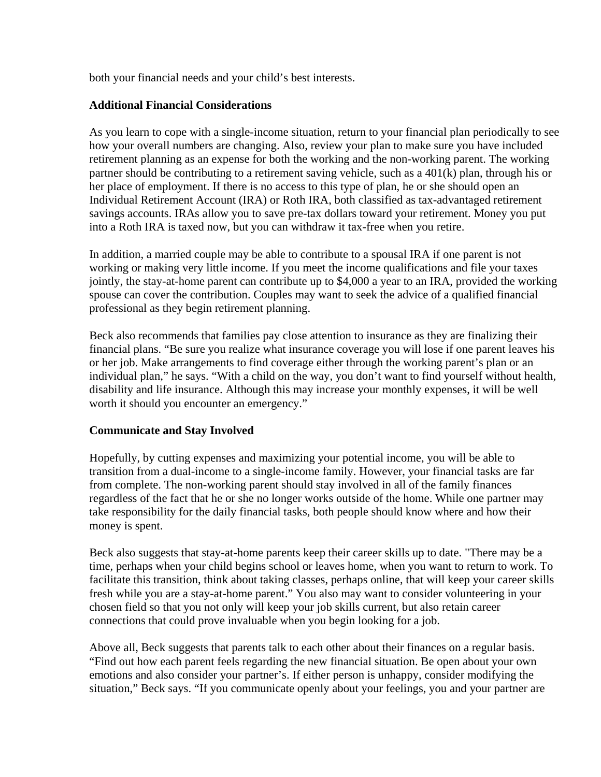both your financial needs and your child's best interests.

### **Additional Financial Considerations**

As you learn to cope with a single-income situation, return to your financial plan periodically to see how your overall numbers are changing. Also, review your plan to make sure you have included retirement planning as an expense for both the working and the non-working parent. The working partner should be contributing to a retirement saving vehicle, such as a 401(k) plan, through his or her place of employment. If there is no access to this type of plan, he or she should open an Individual Retirement Account (IRA) or Roth IRA, both classified as tax-advantaged retirement savings accounts. IRAs allow you to save pre-tax dollars toward your retirement. Money you put into a Roth IRA is taxed now, but you can withdraw it tax-free when you retire.

In addition, a married couple may be able to contribute to a spousal IRA if one parent is not working or making very little income. If you meet the income qualifications and file your taxes jointly, the stay-at-home parent can contribute up to \$4,000 a year to an IRA, provided the working spouse can cover the contribution. Couples may want to seek the advice of a qualified financial professional as they begin retirement planning.

Beck also recommends that families pay close attention to insurance as they are finalizing their financial plans. "Be sure you realize what insurance coverage you will lose if one parent leaves his or her job. Make arrangements to find coverage either through the working parent's plan or an individual plan," he says. "With a child on the way, you don't want to find yourself without health, disability and life insurance. Although this may increase your monthly expenses, it will be well worth it should you encounter an emergency."

## **Communicate and Stay Involved**

Hopefully, by cutting expenses and maximizing your potential income, you will be able to transition from a dual-income to a single-income family. However, your financial tasks are far from complete. The non-working parent should stay involved in all of the family finances regardless of the fact that he or she no longer works outside of the home. While one partner may take responsibility for the daily financial tasks, both people should know where and how their money is spent.

Beck also suggests that stay-at-home parents keep their career skills up to date. "There may be a time, perhaps when your child begins school or leaves home, when you want to return to work. To facilitate this transition, think about taking classes, perhaps online, that will keep your career skills fresh while you are a stay-at-home parent." You also may want to consider volunteering in your chosen field so that you not only will keep your job skills current, but also retain career connections that could prove invaluable when you begin looking for a job.

Above all, Beck suggests that parents talk to each other about their finances on a regular basis. "Find out how each parent feels regarding the new financial situation. Be open about your own emotions and also consider your partner's. If either person is unhappy, consider modifying the situation," Beck says. "If you communicate openly about your feelings, you and your partner are